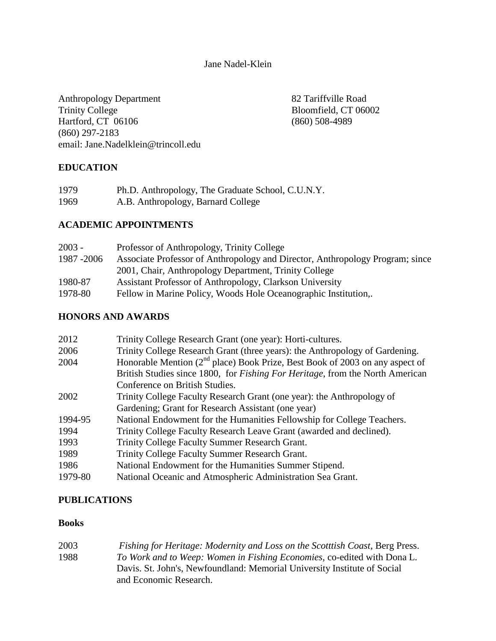## Jane Nadel-Klein

Anthropology Department 82 Tariffville Road Trinity College Bloomfield, CT 06002<br>
Hartford, CT 06106 (860) 508-4989 Hartford,  $CT$  06106 (860) 297-2183 email: Jane.Nadelklein@trincoll.edu

# **EDUCATION**

| 1979 | Ph.D. Anthropology, The Graduate School, C.U.N.Y. |
|------|---------------------------------------------------|
| 1969 | A.B. Anthropology, Barnard College                |

# **ACADEMIC APPOINTMENTS**

| $2003 -$    | Professor of Anthropology, Trinity College                                    |
|-------------|-------------------------------------------------------------------------------|
| 1987 - 2006 | Associate Professor of Anthropology and Director, Anthropology Program; since |
|             | 2001, Chair, Anthropology Department, Trinity College                         |
| 1980-87     | Assistant Professor of Anthropology, Clarkson University                      |
| 1978-80     | Fellow in Marine Policy, Woods Hole Oceanographic Institution,.               |
|             |                                                                               |

# **HONORS AND AWARDS**

| 2012    | Trinity College Research Grant (one year): Horti-cultures.                            |
|---------|---------------------------------------------------------------------------------------|
| 2006    | Trinity College Research Grant (three years): the Anthropology of Gardening.          |
| 2004    | Honorable Mention $(2^{nd}$ place) Book Prize, Best Book of 2003 on any aspect of     |
|         | British Studies since 1800, for <i>Fishing For Heritage</i> , from the North American |
|         | Conference on British Studies.                                                        |
| 2002    | Trinity College Faculty Research Grant (one year): the Anthropology of                |
|         | Gardening; Grant for Research Assistant (one year)                                    |
| 1994-95 | National Endowment for the Humanities Fellowship for College Teachers.                |
| 1994    | Trinity College Faculty Research Leave Grant (awarded and declined).                  |
| 1993    | Trinity College Faculty Summer Research Grant.                                        |
| 1989    | Trinity College Faculty Summer Research Grant.                                        |
| 1986    | National Endowment for the Humanities Summer Stipend.                                 |
| 1979-80 | National Oceanic and Atmospheric Administration Sea Grant.                            |

# **PUBLICATIONS**

## **Books**

| 2003 | Fishing for Heritage: Modernity and Loss on the Scotttish Coast, Berg Press.   |
|------|--------------------------------------------------------------------------------|
| 1988 | <i>To Work and to Weep: Women in Fishing Economies, co-edited with Dona L.</i> |
|      | Davis. St. John's, Newfoundland: Memorial University Institute of Social       |
|      | and Economic Research.                                                         |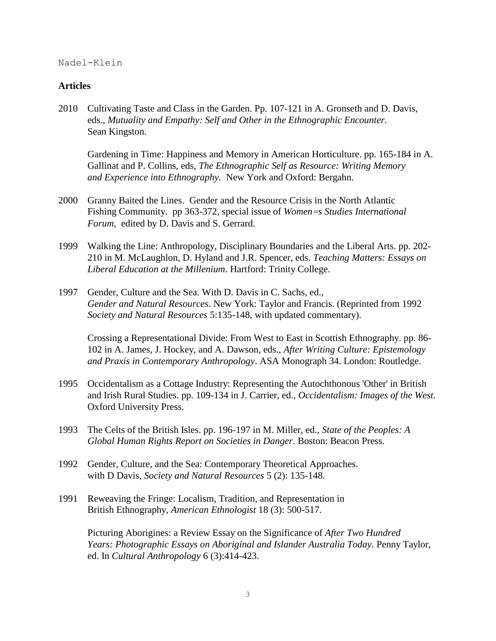### **Articles**

2010 Cultivating Taste and Class in the Garden. Pp. 107-121 in A. Gronseth and D. Davis, eds., *Mutuality and Empathy: Self and Other in the Ethnographic Encounter.*  Sean Kingston.

Gardening in Time: Happiness and Memory in American Horticulture. pp. 165-184 in A. Gallinat and P. Collins, eds, *The Ethnographic Self as Resource: Writing Memory and Experience into Ethnography.* New York and Oxford: Bergahn.

- 2000 Granny Baited the Lines.Gender and the Resource Crisis in the North Atlantic Fishing Community. pp 363-372, special issue of *Women=s Studies International Forum*, edited by D. Davis and S. Gerrard.
- 1999 Walking the Line: Anthropology, Disciplinary Boundaries and the Liberal Arts. pp. 202- 210 in M. McLaughlon, D. Hyland and J.R. Spencer, eds. *Teaching Matters: Essays on Liberal Education at the Millenium*. Hartford: Trinity College.
- 1997 Gender, Culture and the Sea. With D. Davis in C. Sachs, ed., *Gender and Natural Resources*. New York: Taylor and Francis. (Reprinted from 1992 *Society and Natural Resources* 5:135-148, with updated commentary).

Crossing a Representational Divide: From West to East in Scottish Ethnography. pp. 86- 102 in A. James, J. Hockey, and A. Dawson, eds., *After Writing Culture: Epistemology and Praxis in Contemporary Anthropology*. ASA Monograph 34. London: Routledge.

- 1995 Occidentalism as a Cottage Industry: Representing the Autochthonous 'Other' in British and Irish Rural Studies. pp. 109-134 in J. Carrier, ed., *Occidentalism: Images of the West*. Oxford University Press.
- 1993 The Celts of the British Isles. pp. 196-197 in M. Miller, ed., *State of the Peoples: A Global Human Rights Report on Societies in Danger*. Boston: Beacon Press.
- 1992 Gender, Culture, and the Sea: Contemporary Theoretical Approaches. with D Davis, *Society and Natural Resources* 5 (2): 135-148.
- 1991 Reweaving the Fringe: Localism, Tradition, and Representation in British Ethnography, *American Ethnologist* 18 (3): 500-517.

Picturing Aborigines: a Review Essay on the Significance of *After Two Hundred Years: Photographic Essays on Aboriginal and Islander Australia Today*. Penny Taylor, ed. In *Cultural Anthropology* 6 (3):414-423.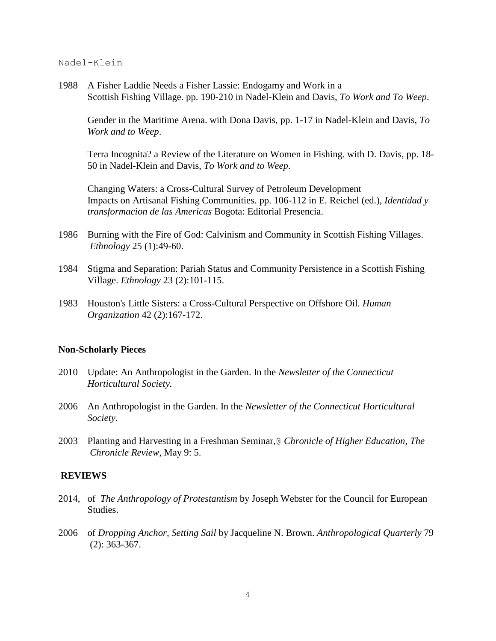1988 A Fisher Laddie Needs a Fisher Lassie: Endogamy and Work in a Scottish Fishing Village. pp. 190-210 in Nadel-Klein and Davis, *To Work and To Weep*.

Gender in the Maritime Arena. with Dona Davis, pp. 1-17 in Nadel-Klein and Davis, *To Work and to Weep*.

Terra Incognita? a Review of the Literature on Women in Fishing. with D. Davis, pp. 18- 50 in Nadel-Klein and Davis, *To Work and to Weep*.

Changing Waters: a Cross-Cultural Survey of Petroleum Development Impacts on Artisanal Fishing Communities. pp. 106-112 in E. Reichel (ed.), *Identidad y transformacion de las Americas* Bogota: Editorial Presencia.

- 1986 Burning with the Fire of God: Calvinism and Community in Scottish Fishing Villages. *Ethnology* 25 (1):49-60.
- 1984 Stigma and Separation: Pariah Status and Community Persistence in a Scottish Fishing Village. *Ethnology* 23 (2):101-115.
- 1983 Houston's Little Sisters: a Cross-Cultural Perspective on Offshore Oil. *Human Organization* 42 (2):167-172.

### **Non-Scholarly Pieces**

- 2010 Update: An Anthropologist in the Garden. In the *Newsletter of the Connecticut Horticultural Society.*
- 2006 An Anthropologist in the Garden. In the *Newsletter of the Connecticut Horticultural Society.*
- 2003 Planting and Harvesting in a Freshman Seminar,@ *Chronicle of Higher Education*, *The Chronicle Review*, May 9: 5.

### **REVIEWS**

- 2014, of *The Anthropology of Protestantism* by Joseph Webster for the Council for European Studies.
- 2006 of *Dropping Anchor, Setting Sail* by Jacqueline N. Brown. *Anthropological Quarterly* 79 (2): 363-367.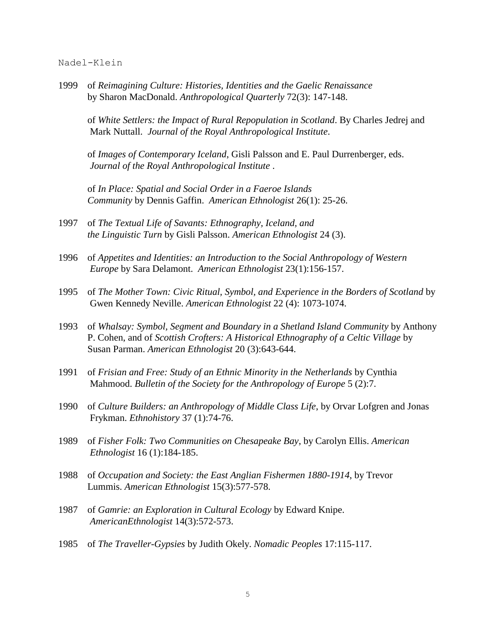1999 of *Reimagining Culture: Histories, Identities and the Gaelic Renaissance* by Sharon MacDonald. *Anthropological Quarterly* 72(3): 147-148.

of *White Settlers: the Impact of Rural Repopulation in Scotland*. By Charles Jedrej and Mark Nuttall. *Journal of the Royal Anthropological Institute*.

of *Images of Contemporary Iceland*, Gisli Palsson and E. Paul Durrenberger, eds. *Journal of the Royal Anthropological Institute* .

of *In Place: Spatial and Social Order in a Faeroe Islands Community* by Dennis Gaffin. *American Ethnologist* 26(1): 25-26.

- 1997 of *The Textual Life of Savants: Ethnography, Iceland, and the Linguistic Turn* by Gisli Palsson. *American Ethnologist* 24 (3).
- 1996 of *Appetites and Identities: an Introduction to the Social Anthropology of Western Europe* by Sara Delamont. *American Ethnologist* 23(1):156-157.
- 1995 of *The Mother Town: Civic Ritual, Symbol, and Experience in the Borders of Scotland* by Gwen Kennedy Neville. *American Ethnologist* 22 (4): 1073-1074.
- 1993 of *Whalsay: Symbol, Segment and Boundary in a Shetland Island Community* by Anthony P. Cohen, and of *Scottish Crofters: A Historical Ethnography of a Celtic Village* by Susan Parman. *American Ethnologist* 20 (3):643-644.
- 1991 of *Frisian and Free: Study of an Ethnic Minority in the Netherlands* by Cynthia Mahmood. *Bulletin of the Society for the Anthropology of Europe* 5 (2):7.
- 1990 of *Culture Builders: an Anthropology of Middle Class Life*, by Orvar Lofgren and Jonas Frykman. *Ethnohistory* 37 (1):74-76.
- 1989 of *Fisher Folk: Two Communities on Chesapeake Bay*, by Carolyn Ellis. *American Ethnologist* 16 (1):184-185.
- 1988 of *Occupation and Society: the East Anglian Fishermen 1880-1914*, by Trevor Lummis. *American Ethnologist* 15(3):577-578.
- 1987 of *Gamrie: an Exploration in Cultural Ecology* by Edward Knipe. *AmericanEthnologist* 14(3):572-573.
- 1985 of *The Traveller-Gypsies* by Judith Okely. *Nomadic Peoples* 17:115-117.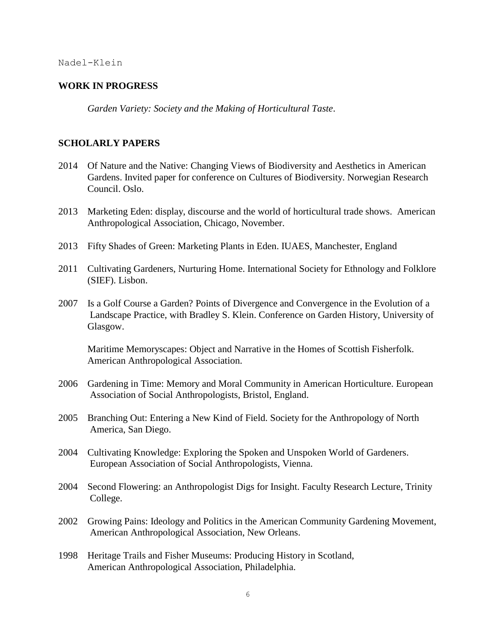### **WORK IN PROGRESS**

*Garden Variety: Society and the Making of Horticultural Taste*.

### **SCHOLARLY PAPERS**

- 2014 Of Nature and the Native: Changing Views of Biodiversity and Aesthetics in American Gardens. Invited paper for conference on Cultures of Biodiversity. Norwegian Research Council. Oslo.
- 2013 Marketing Eden: display, discourse and the world of horticultural trade shows. American Anthropological Association, Chicago, November.
- 2013 Fifty Shades of Green: Marketing Plants in Eden. IUAES, Manchester, England
- 2011 Cultivating Gardeners, Nurturing Home. International Society for Ethnology and Folklore (SIEF). Lisbon.
- 2007 Is a Golf Course a Garden? Points of Divergence and Convergence in the Evolution of a Landscape Practice, with Bradley S. Klein. Conference on Garden History, University of Glasgow.

Maritime Memoryscapes: Object and Narrative in the Homes of Scottish Fisherfolk. American Anthropological Association.

- 2006 Gardening in Time: Memory and Moral Community in American Horticulture. European Association of Social Anthropologists, Bristol, England.
- 2005 Branching Out: Entering a New Kind of Field. Society for the Anthropology of North America, San Diego.
- 2004 Cultivating Knowledge: Exploring the Spoken and Unspoken World of Gardeners. European Association of Social Anthropologists, Vienna.
- 2004 Second Flowering: an Anthropologist Digs for Insight. Faculty Research Lecture, Trinity College.
- 2002 Growing Pains: Ideology and Politics in the American Community Gardening Movement, American Anthropological Association, New Orleans.
- 1998 Heritage Trails and Fisher Museums: Producing History in Scotland, American Anthropological Association, Philadelphia.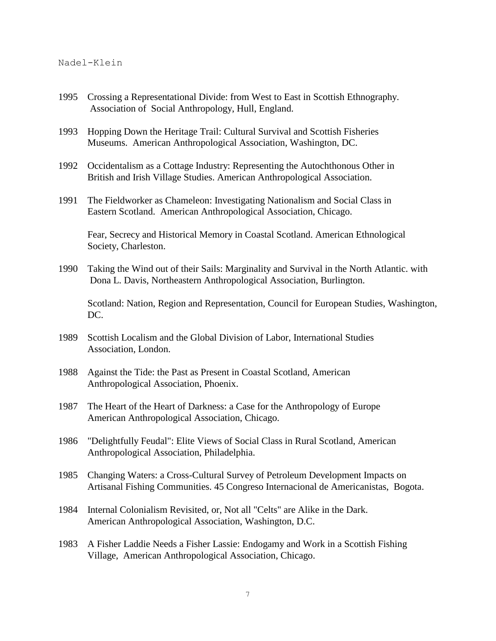- 1995 Crossing a Representational Divide: from West to East in Scottish Ethnography. Association of Social Anthropology, Hull, England.
- 1993 Hopping Down the Heritage Trail: Cultural Survival and Scottish Fisheries Museums. American Anthropological Association, Washington, DC.
- 1992 Occidentalism as a Cottage Industry: Representing the Autochthonous Other in British and Irish Village Studies. American Anthropological Association.
- 1991 The Fieldworker as Chameleon: Investigating Nationalism and Social Class in Eastern Scotland. American Anthropological Association, Chicago.

Fear, Secrecy and Historical Memory in Coastal Scotland. American Ethnological Society, Charleston.

1990 Taking the Wind out of their Sails: Marginality and Survival in the North Atlantic. with Dona L. Davis, Northeastern Anthropological Association, Burlington.

Scotland: Nation, Region and Representation, Council for European Studies, Washington, DC.

- 1989 Scottish Localism and the Global Division of Labor, International Studies Association, London.
- 1988 Against the Tide: the Past as Present in Coastal Scotland, American Anthropological Association, Phoenix.
- 1987 The Heart of the Heart of Darkness: a Case for the Anthropology of Europe American Anthropological Association, Chicago.
- 1986 "Delightfully Feudal": Elite Views of Social Class in Rural Scotland, American Anthropological Association, Philadelphia.
- 1985 Changing Waters: a Cross-Cultural Survey of Petroleum Development Impacts on Artisanal Fishing Communities. 45 Congreso Internacional de Americanistas, Bogota.
- 1984 Internal Colonialism Revisited, or, Not all "Celts" are Alike in the Dark. American Anthropological Association, Washington, D.C.
- 1983 A Fisher Laddie Needs a Fisher Lassie: Endogamy and Work in a Scottish Fishing Village, American Anthropological Association, Chicago.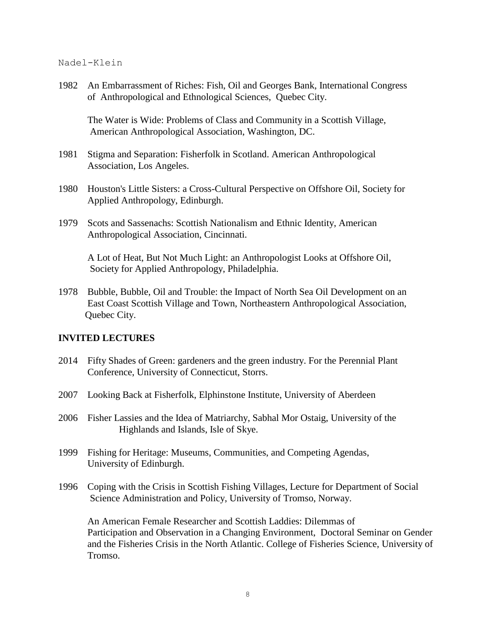1982 An Embarrassment of Riches: Fish, Oil and Georges Bank, International Congress of Anthropological and Ethnological Sciences, Quebec City.

The Water is Wide: Problems of Class and Community in a Scottish Village, American Anthropological Association, Washington, DC.

- 1981 Stigma and Separation: Fisherfolk in Scotland. American Anthropological Association, Los Angeles.
- 1980 Houston's Little Sisters: a Cross-Cultural Perspective on Offshore Oil, Society for Applied Anthropology, Edinburgh.
- 1979 Scots and Sassenachs: Scottish Nationalism and Ethnic Identity, American Anthropological Association, Cincinnati.

A Lot of Heat, But Not Much Light: an Anthropologist Looks at Offshore Oil, Society for Applied Anthropology, Philadelphia.

1978 Bubble, Bubble, Oil and Trouble: the Impact of North Sea Oil Development on an East Coast Scottish Village and Town, Northeastern Anthropological Association, Quebec City.

### **INVITED LECTURES**

- 2014 Fifty Shades of Green: gardeners and the green industry. For the Perennial Plant Conference, University of Connecticut, Storrs.
- 2007 Looking Back at Fisherfolk, Elphinstone Institute, University of Aberdeen
- 2006 Fisher Lassies and the Idea of Matriarchy, Sabhal Mor Ostaig, University of the Highlands and Islands, Isle of Skye.
- 1999 Fishing for Heritage: Museums, Communities, and Competing Agendas, University of Edinburgh.
- 1996 Coping with the Crisis in Scottish Fishing Villages, Lecture for Department of Social Science Administration and Policy, University of Tromso, Norway.

An American Female Researcher and Scottish Laddies: Dilemmas of Participation and Observation in a Changing Environment, Doctoral Seminar on Gender and the Fisheries Crisis in the North Atlantic. College of Fisheries Science, University of Tromso.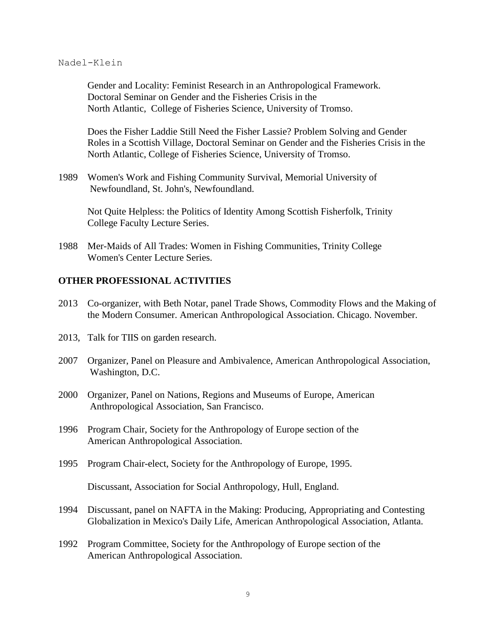Gender and Locality: Feminist Research in an Anthropological Framework. Doctoral Seminar on Gender and the Fisheries Crisis in the North Atlantic, College of Fisheries Science, University of Tromso.

Does the Fisher Laddie Still Need the Fisher Lassie? Problem Solving and Gender Roles in a Scottish Village, Doctoral Seminar on Gender and the Fisheries Crisis in the North Atlantic, College of Fisheries Science, University of Tromso.

1989 Women's Work and Fishing Community Survival, Memorial University of Newfoundland, St. John's, Newfoundland.

Not Quite Helpless: the Politics of Identity Among Scottish Fisherfolk, Trinity College Faculty Lecture Series.

1988 Mer-Maids of All Trades: Women in Fishing Communities, Trinity College Women's Center Lecture Series.

### **OTHER PROFESSIONAL ACTIVITIES**

- 2013 Co-organizer, with Beth Notar, panel Trade Shows, Commodity Flows and the Making of the Modern Consumer. American Anthropological Association. Chicago. November.
- 2013, Talk for TIIS on garden research.
- 2007 Organizer, Panel on Pleasure and Ambivalence, American Anthropological Association, Washington, D.C.
- 2000 Organizer, Panel on Nations, Regions and Museums of Europe, American Anthropological Association, San Francisco.
- 1996 Program Chair, Society for the Anthropology of Europe section of the American Anthropological Association.
- 1995 Program Chair-elect, Society for the Anthropology of Europe, 1995.

Discussant, Association for Social Anthropology, Hull, England.

- 1994 Discussant, panel on NAFTA in the Making: Producing, Appropriating and Contesting Globalization in Mexico's Daily Life, American Anthropological Association, Atlanta.
- 1992 Program Committee, Society for the Anthropology of Europe section of the American Anthropological Association.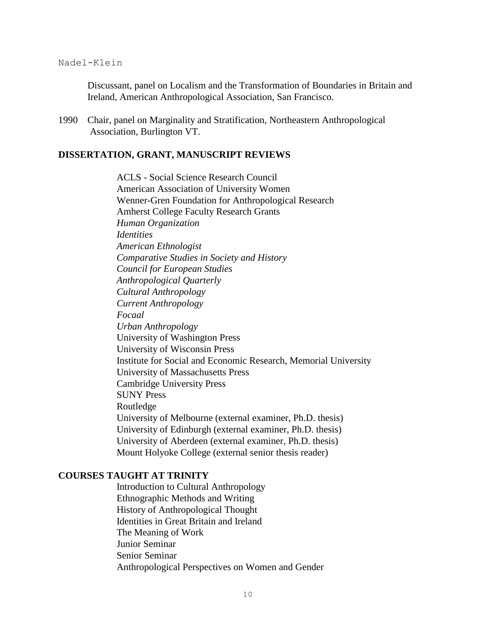Discussant, panel on Localism and the Transformation of Boundaries in Britain and Ireland, American Anthropological Association, San Francisco.

1990 Chair, panel on Marginality and Stratification, Northeastern Anthropological Association, Burlington VT.

### **DISSERTATION, GRANT, MANUSCRIPT REVIEWS**

ACLS - Social Science Research Council American Association of University Women Wenner-Gren Foundation for Anthropological Research Amherst College Faculty Research Grants *Human Organization Identities American Ethnologist Comparative Studies in Society and History Council for European Studies Anthropological Quarterly Cultural Anthropology Current Anthropology Focaal Urban Anthropology* University of Washington Press University of Wisconsin Press Institute for Social and Economic Research, Memorial University University of Massachusetts Press Cambridge University Press SUNY Press Routledge University of Melbourne (external examiner, Ph.D. thesis) University of Edinburgh (external examiner, Ph.D. thesis) University of Aberdeen (external examiner, Ph.D. thesis) Mount Holyoke College (external senior thesis reader)

### **COURSES TAUGHT AT TRINITY**

Introduction to Cultural Anthropology Ethnographic Methods and Writing History of Anthropological Thought Identities in Great Britain and Ireland The Meaning of Work Junior Seminar Senior Seminar Anthropological Perspectives on Women and Gender